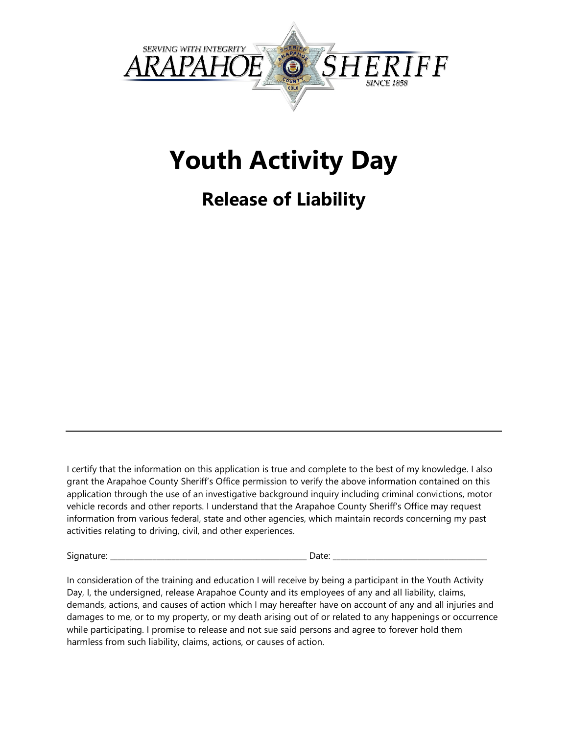

## **Youth Activity Day**

## **Release of Liability**

I certify that the information on this application is true and complete to the best of my knowledge. I also grant the Arapahoe County Sheriff's Office permission to verify the above information contained on this application through the use of an investigative background inquiry including criminal convictions, motor vehicle records and other reports. I understand that the Arapahoe County Sheriff's Office may request information from various federal, state and other agencies, which maintain records concerning my past activities relating to driving, civil, and other experiences.

Signature: \_\_\_\_\_\_\_\_\_\_\_\_\_\_\_\_\_\_\_\_\_\_\_\_\_\_\_\_\_\_\_\_\_\_\_\_\_\_\_\_\_\_\_\_\_\_\_\_\_\_\_ Date: \_\_\_\_\_\_\_\_\_\_\_\_\_\_\_\_\_\_\_\_\_\_\_\_\_\_\_\_\_\_\_\_\_\_\_\_\_\_\_\_

In consideration of the training and education I will receive by being a participant in the Youth Activity Day, I, the undersigned, release Arapahoe County and its employees of any and all liability, claims, demands, actions, and causes of action which I may hereafter have on account of any and all injuries and damages to me, or to my property, or my death arising out of or related to any happenings or occurrence while participating. I promise to release and not sue said persons and agree to forever hold them harmless from such liability, claims, actions, or causes of action.